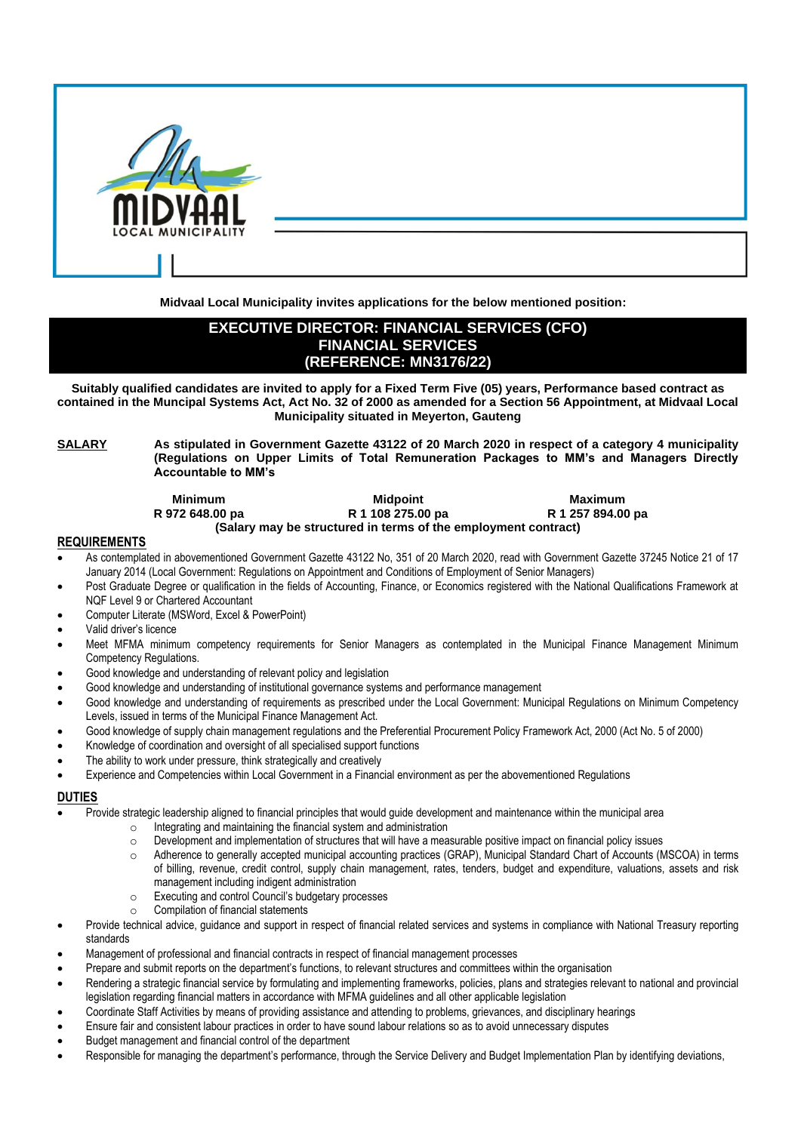

**Midvaal Local Municipality invites applications for the below mentioned position:**

# **EXECUTIVE DIRECTOR: FINANCIAL SERVICES (CFO) FINANCIAL SERVICES (REFERENCE: MN3176/22)**

**Suitably qualified candidates are invited to apply for a Fixed Term Five (05) years, Performance based contract as contained in the Muncipal Systems Act, Act No. 32 of 2000 as amended for a Section 56 Appointment, at Midvaal Local Municipality situated in Meyerton, Gauteng**

**SALARY As stipulated in Government Gazette 43122 of 20 March 2020 in respect of a category 4 municipality (Regulations on Upper Limits of Total Remuneration Packages to MM's and Managers Directly Accountable to MM's**

| <b>Minimum</b>  | <b>Midpoint</b>                                                | Maximum           |
|-----------------|----------------------------------------------------------------|-------------------|
| R 972 648.00 pa | R 1 108 275.00 pa                                              | R 1 257 894.00 pa |
|                 | (Salary may be structured in terms of the employment contract) |                   |

#### **REQUIREMENTS**

- As contemplated in abovementioned Government Gazette 43122 No, 351 of 20 March 2020, read with Government Gazette 37245 Notice 21 of 17 January 2014 (Local Government: Regulations on Appointment and Conditions of Employment of Senior Managers)
- Post Graduate Degree or qualification in the fields of Accounting, Finance, or Economics registered with the National Qualifications Framework at NQF Level 9 or Chartered Accountant
- Computer Literate (MSWord, Excel & PowerPoint)
- Valid driver's licence
- Meet MFMA minimum competency requirements for Senior Managers as contemplated in the Municipal Finance Management Minimum Competency Regulations.
- Good knowledge and understanding of relevant policy and legislation
- Good knowledge and understanding of institutional governance systems and performance management
- Good knowledge and understanding of requirements as prescribed under the Local Government: Municipal Regulations on Minimum Competency Levels, issued in terms of the Municipal Finance Management Act.
- Good knowledge of supply chain management regulations and the Preferential Procurement Policy Framework Act, 2000 (Act No. 5 of 2000)
- Knowledge of coordination and oversight of all specialised support functions
- The ability to work under pressure, think strategically and creatively
- Experience and Competencies within Local Government in a Financial environment as per the abovementioned Regulations

### **DUTIES**

- Provide strategic leadership aligned to financial principles that would guide development and maintenance within the municipal area
	- o Integrating and maintaining the financial system and administration
	- o Development and implementation of structures that will have a measurable positive impact on financial policy issues
	- o Adherence to generally accepted municipal accounting practices (GRAP), Municipal Standard Chart of Accounts (MSCOA) in terms of billing, revenue, credit control, supply chain management, rates, tenders, budget and expenditure, valuations, assets and risk management including indigent administration
	- o Executing and control Council's budgetary processes
	- Compilation of financial statements
- Provide technical advice, guidance and support in respect of financial related services and systems in compliance with National Treasury reporting standards
- Management of professional and financial contracts in respect of financial management processes
- Prepare and submit reports on the department's functions, to relevant structures and committees within the organisation
- Rendering a strategic financial service by formulating and implementing frameworks, policies, plans and strategies relevant to national and provincial legislation regarding financial matters in accordance with MFMA guidelines and all other applicable legislation
- Coordinate Staff Activities by means of providing assistance and attending to problems, grievances, and disciplinary hearings
- Ensure fair and consistent labour practices in order to have sound labour relations so as to avoid unnecessary disputes
- Budget management and financial control of the department
- Responsible for managing the department's performance, through the Service Delivery and Budget Implementation Plan by identifying deviations,